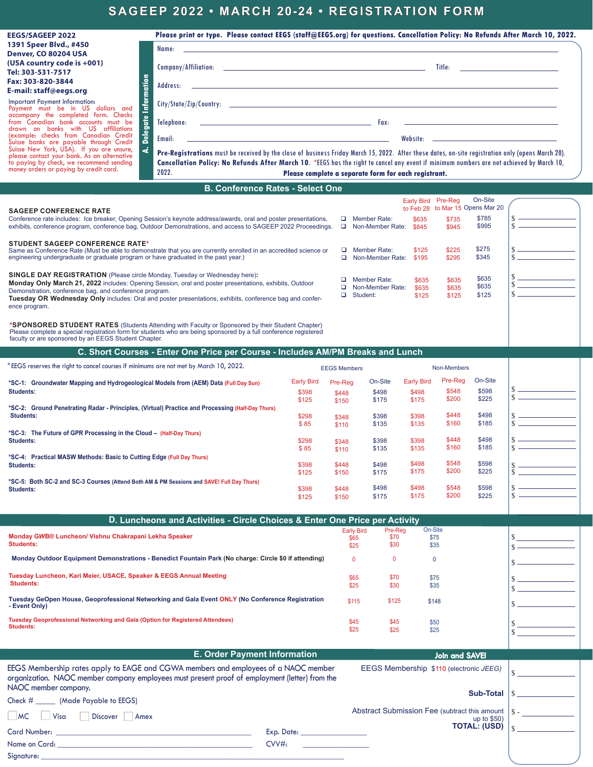## **SAGEEP 2022 • MARCH 20-24 • REGISTRATION FORM**

| <b>EEGS/SAGEEP 2022</b>                                                                                                                                                             | Please print or type. Please contact EEGS (staff@EEGS.org) for questions. Cancellation Policy: No Refunds After March 10, 2022.                                                                                                                                                               |  |  |  |
|-------------------------------------------------------------------------------------------------------------------------------------------------------------------------------------|-----------------------------------------------------------------------------------------------------------------------------------------------------------------------------------------------------------------------------------------------------------------------------------------------|--|--|--|
| 1391 Speer Blvd., #450                                                                                                                                                              | Name: And the state of the state of the state of the state of the state of the state of the state of the state                                                                                                                                                                                |  |  |  |
| Denver, CO 80204 USA                                                                                                                                                                |                                                                                                                                                                                                                                                                                               |  |  |  |
| (USA country code is +001)                                                                                                                                                          | Title:                                                                                                                                                                                                                                                                                        |  |  |  |
| Tel: 303-531-7517                                                                                                                                                                   |                                                                                                                                                                                                                                                                                               |  |  |  |
| Fax: 303-820-3844                                                                                                                                                                   |                                                                                                                                                                                                                                                                                               |  |  |  |
| E-mail: staff@eegs.org                                                                                                                                                              |                                                                                                                                                                                                                                                                                               |  |  |  |
| nformation<br><b>Important Payment Information:</b><br>Payment must be in US dollars and                                                                                            |                                                                                                                                                                                                                                                                                               |  |  |  |
| accompany the completed form. Checks<br>$\frac{e}{5}$<br>from Canadian bank accounts must be<br>drawn on banks with US affiliations                                                 |                                                                                                                                                                                                                                                                                               |  |  |  |
| Deleg<br>(example: checks from Canadian Credit<br>Suisse banks are payable through Credit                                                                                           |                                                                                                                                                                                                                                                                                               |  |  |  |
| ä<br>Suisse New York, USA). If you are unsure,<br>please contact your bank. As an alternative<br>to paying by check, we recommend sending<br>money orders or paying by credit card. | Pre-Registrations must be received by the close of business Friday March 15, 2022. After these dates, on-site registration only (opens March 20).<br>Cancellation Policy: No Refunds After March 10. *EEGS has the right to cancel any event if minimum numbers are not achieved by March 10, |  |  |  |
|                                                                                                                                                                                     | 2022.<br>Please complete a separate form for each registrant.                                                                                                                                                                                                                                 |  |  |  |
| <b>B. Conference Rates - Select One</b>                                                                                                                                             |                                                                                                                                                                                                                                                                                               |  |  |  |

| <b>SAGEEP CONFERENCE RATE</b><br>Conference rate includes: Ice breaker, Opening Session's keynote address/awards, oral and poster presentations,<br>exhibits, conference program, conference bag, Outdoor Demonstrations, and access to SAGEEP 2022 Proceedings.                                                                                                                  |                                     | □.                        | Member Rate:<br>Non-Member Rate:             | <b>Early Bird</b><br>to Feb 28<br>\$635<br>\$845 | Pre-Reg<br>\$735<br>\$945 | On-Site<br>to Mar 15 Opens Mar 20<br>\$785<br>\$995 |               |                                                                                                                                                                                                                                      |
|-----------------------------------------------------------------------------------------------------------------------------------------------------------------------------------------------------------------------------------------------------------------------------------------------------------------------------------------------------------------------------------|-------------------------------------|---------------------------|----------------------------------------------|--------------------------------------------------|---------------------------|-----------------------------------------------------|---------------|--------------------------------------------------------------------------------------------------------------------------------------------------------------------------------------------------------------------------------------|
| <b>STUDENT SAGEEP CONFERENCE RATE*</b><br>Same as Conference Rate (Must be able to demonstrate that you are currently enrolled in an accredited science or<br>engineering undergraduate or graduate program or have graduated in the past year.)                                                                                                                                  |                                     | □                         | Member Rate:<br>Non-Member Rate:             | \$125<br>\$195                                   | \$225<br>\$295            | \$275<br>\$345                                      | $\mathcal{S}$ |                                                                                                                                                                                                                                      |
| <b>SINGLE DAY REGISTRATION</b> (Please circle Monday, Tuesday or Wednesday here):<br>Monday Only March 21, 2022 includes: Opening Session, oral and poster presentations, exhibits, Outdoor<br>Demonstration, conference bag, and conference program.<br>Tuesday OR Wednesday Only includes: Oral and poster presentations, exhibits, conference bag and confer-<br>ence program. |                                     | o.<br>o.                  | Member Rate:<br>Non-Member Rate:<br>Student: | \$635<br>\$635<br>\$125                          | \$635<br>\$635<br>\$125   | \$635<br>\$635<br>\$125                             |               | <u> The Community of the Community of the Community of the Community of the Community of the Community of the Community of the Community of the Community of the Community of the Community of the Community of the Community of</u> |
| *SPONSORED STUDENT RATES (Students Attending with Faculty or Sponsored by their Student Chapter)<br>Please complete a special registration form for students who are being sponsored by a full conference registered<br>faculty or are sponsored by an EEGS Student Chapter.                                                                                                      |                                     |                           |                                              |                                                  |                           |                                                     |               |                                                                                                                                                                                                                                      |
| C. Short Courses - Enter One Price per Course - Includes AM/PM Breaks and Lunch                                                                                                                                                                                                                                                                                                   |                                     |                           |                                              |                                                  |                           |                                                     |               |                                                                                                                                                                                                                                      |
| *EEGS reserves the right to cancel courses if minimums are not met by March 10, 2022.                                                                                                                                                                                                                                                                                             |                                     | <b>EEGS Members</b>       |                                              |                                                  | Non-Members               |                                                     |               |                                                                                                                                                                                                                                      |
| *SC-1: Groundwater Mapping and Hydrogeological Models from (AEM) Data (Full Day Sun)<br><b>Students:</b>                                                                                                                                                                                                                                                                          | <b>Early Bird</b><br>\$398<br>\$125 | Pre-Rea<br>\$448<br>\$150 | On-Site<br>\$498<br>\$175                    | <b>Early Bird</b><br>\$498<br>\$175              | Pre-Reg<br>\$548<br>\$200 | On-Site<br>\$598<br>\$225                           |               |                                                                                                                                                                                                                                      |
| *SC-2: Ground Penetrating Radar - Principles, (Virtual) Practice and Processing (Half-Day Thurs)<br><b>Students:</b>                                                                                                                                                                                                                                                              | \$298<br>\$85                       | \$348<br>\$110            | \$398<br>\$135                               | \$398<br>\$135                                   | \$448<br>\$160            | \$498<br>\$185                                      | \$            |                                                                                                                                                                                                                                      |
| *SC-3: The Future of GPR Processing in the Cloud - (Half-Day Thurs)                                                                                                                                                                                                                                                                                                               |                                     |                           |                                              |                                                  |                           |                                                     |               |                                                                                                                                                                                                                                      |

| "SC-1: Groundwater Mapping and Hydrogeological Models from (AEM) Data (Full Day Sun)             | Early Dilu | Pre-Rea | <b>UII-SILE</b> | Early Dilu | $100 - 100$ | סווט־ווט |  |
|--------------------------------------------------------------------------------------------------|------------|---------|-----------------|------------|-------------|----------|--|
| <b>Students:</b>                                                                                 | \$398      | \$448   | \$498           | \$498      | \$548       | \$598    |  |
|                                                                                                  | \$125      | \$150   | \$175           | \$175      | \$200       | \$225    |  |
| *SC-2: Ground Penetrating Radar - Principles, (Virtual) Practice and Processing (Half-Day Thurs) |            |         |                 |            |             |          |  |
| <b>Students:</b>                                                                                 | \$298      | \$348   | \$398           | \$398      | \$448       | \$498    |  |
|                                                                                                  | \$85       | \$110   | \$135           | \$135      | \$160       | \$185    |  |
| *SC-3: The Future of GPR Processing in the Cloud - (Half-Day Thurs)                              |            |         |                 |            |             |          |  |
| <b>Students:</b>                                                                                 | \$298      | \$348   | \$398           | \$398      | \$448       | \$498    |  |
|                                                                                                  | \$85       | \$110   | \$135           | \$135      | \$160       | \$185    |  |
| *SC-4: Practical MASW Methods: Basic to Cutting Edge (Full Day Thurs)                            |            |         |                 |            |             |          |  |
| Students:                                                                                        | \$398      | \$448   | \$498           | \$498      | \$548       | \$598    |  |
|                                                                                                  | \$125      | \$150   | \$175           | \$175      | \$200       | \$225    |  |
| *SC-5: Both SC-2 and SC-3 Courses (Attend Both AM & PM Sessions and SAVE! Full Day Thurs)        |            |         |                 |            |             |          |  |
| <b>Students:</b>                                                                                 | \$398      | \$448   | \$498           | \$498      | \$548       | \$598    |  |
|                                                                                                  | \$125      | \$150   | \$175           | \$175      | \$200       | \$225    |  |

| D. Luncheons and Activities - Circle Choices & Enter One Price per Activity                                       |                                   |                         |                         |  |  |
|-------------------------------------------------------------------------------------------------------------------|-----------------------------------|-------------------------|-------------------------|--|--|
| Monday GWB® Luncheon/ Vishnu Chakrapani Lekha Speaker<br><b>Students:</b>                                         | <b>Early Bird</b><br>\$65<br>\$25 | Pre-Reg<br>\$70<br>\$30 | On-Site<br>\$75<br>\$35 |  |  |
| Monday Outdoor Equipment Demonstrations - Benedict Fountain Park (No charge: Circle \$0 if attending)             |                                   | u                       |                         |  |  |
| Tuesday Luncheon, Kari Meier, USACE, Speaker & EEGS Annual Meeting<br><b>Students:</b>                            | \$65<br>\$25                      | \$70<br>\$30            | \$75<br>\$35            |  |  |
| Tuesday GeOpen House, Geoprofessional Networking and Gala Event ONLY (No Conference Registration<br>- Event Only) | \$115                             | \$125                   | \$148                   |  |  |
| Tuesday Geoprofessional Networking and Gala (Option for Registered Attendees)<br><b>Students:</b>                 | \$45<br>\$25                      | \$45<br>\$25            | \$50<br>\$25            |  |  |

| <b>E. Order Payment Information</b>                                                                                    |                                                                                                                | <b>Join and SAVE!</b>                                               |  |
|------------------------------------------------------------------------------------------------------------------------|----------------------------------------------------------------------------------------------------------------|---------------------------------------------------------------------|--|
| EEGS Membership rates apply to EAGE and CGWA members and employees of a NAOC member                                    |                                                                                                                | EEGS Membership \$110 (electronic JEEG)                             |  |
| organization. NAOC member company employees must present proof of employment (letter) from the<br>NAOC member company. |                                                                                                                | <b>Sub-Total</b>                                                    |  |
| Check # (Made Payable to EEGS)                                                                                         |                                                                                                                |                                                                     |  |
| $M_{\rm C}$<br>  Visa<br>Discover<br>Amex                                                                              |                                                                                                                | Abstract Submission Fee (subtract this amount   § -<br>up to $$50)$ |  |
| Card Number: The Card State of the Card State of the Card State of the Card State of the Card State of the Card        | Exp. Date: the contract of the contract of the contract of the contract of the contract of the contract of the | <b>TOTAL: (USD)</b>                                                 |  |
| Name on Card:                                                                                                          | CVV#                                                                                                           |                                                                     |  |
| Signature:                                                                                                             |                                                                                                                |                                                                     |  |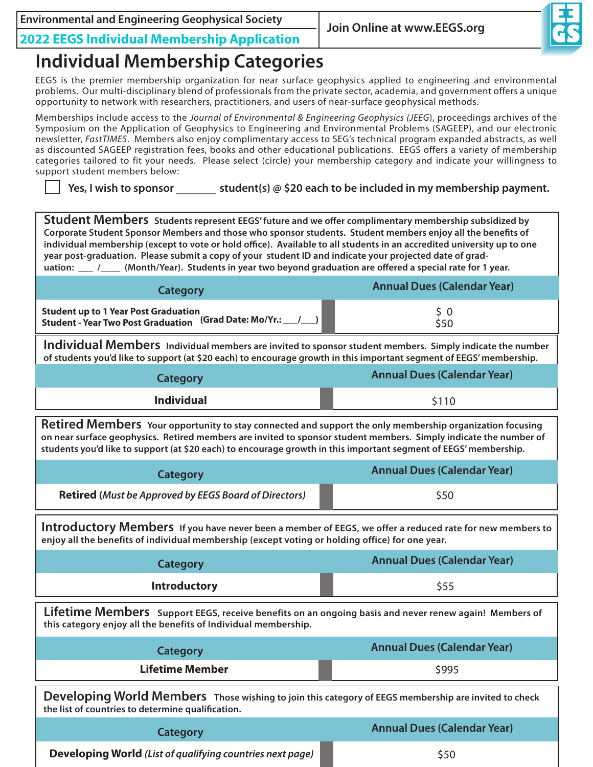**Join Online at www.EEGS.org Environmental and Engineering Geophysical Society**



**2022 EEGS Individual Membership Application**

# **Individual Membership Categories**

EEGS is the premier membership organization for near surface geophysics applied to engineering and environmental problems. Our multi-disciplinary blend of professionals from the private sector, academia, and government offers a unique opportunity to network with researchers, practitioners, and users of near-surface geophysical methods.

Memberships include access to the *Journal of Environmental & Engineering Geophysics (JEEG*), proceedings archives of the Symposium on the Application of Geophysics to Engineering and Environmental Problems (SAGEEP), and our electronic newsletter, *FastTIMES*. Members also enjoy complimentary access to SEG's technical program expanded abstracts, as well as discounted SAGEEP registration fees, books and other educational publications. EEGS offers a variety of membership categories tailored to fit your needs. Please select (circle) your membership category and indicate your willingness to support student members below:

**Yes, I wish to sponsor student(s) @ \$20 each to be included in my membership payment.**

**Student Members Students represent EEGS' future and we offer complimentary membership subsidized by Corporate Student Sponsor Members and those who sponsor students. Student members enjoy all the benefits of individual membership (except to vote or hold office). Available to all students in an accredited university up to one year post-graduation. Please submit a copy of your student ID and indicate your projected date of graduation: \_\_\_ /\_\_\_\_ (Month/Year). Students in year two beyond graduation are offered a special rate for 1 year.**

| <b>Category</b>                                                                                                           | <b>Annual Dues (Calendar Year)</b> |
|---------------------------------------------------------------------------------------------------------------------------|------------------------------------|
| <b>Student up to 1 Year Post Graduation</b><br>Student - Year Two Post Graduation (Grad Date: Mo/Yr.: $\_\_\_\_\_\_\_\_\$ | \$50                               |

**Individual Members Individual members are invited to sponsor student members. Simply indicate the number of students you'd like to support (at \$20 each) to encourage growth in this important segment of EEGS' membership.**

| <b>Category</b>   | <b>Annual Dues (Calendar Year)</b> |
|-------------------|------------------------------------|
| <b>Individual</b> | \$110                              |

**Retired Members Your opportunity to stay connected and support the only membership organization focusing on near surface geophysics. Retired members are invited to sponsor student members. Simply indicate the number of students you'd like to support (at \$20 each) to encourage growth in this important segment of EEGS' membership.**

| Category                                                     | <b>Annual Dues (Calendar Year)</b> |
|--------------------------------------------------------------|------------------------------------|
| <b>Retired</b> (Must be Approved by EEGS Board of Directors) | \$50                               |

**Introductory Members If you have never been a member of EEGS, we offer a reduced rate for new members to enjoy all the benefits of individual membership (except voting or holding office) for one year.** 

| Category            | Annual Dues (Calendar Year) |  |  |
|---------------------|-----------------------------|--|--|
| <b>Introductory</b> | \$55                        |  |  |

**Lifetime Members Support EEGS, receive benefits on an ongoing basis and never renew again! Members of this category enjoy all the benefits of Individual membership.** 

| Category               | <b>Annual Dues (Calendar Year)</b> |
|------------------------|------------------------------------|
| <b>Lifetime Member</b> | \$995                              |

**Developing World Members Those wishing to join this category of EEGS membership are invited to check the list of countries to determine qualification.** 

| Category                                                  | <b>Annual Dues (Calendar Year)</b> |
|-----------------------------------------------------------|------------------------------------|
| Developing World (List of qualifying countries next page) | \$50                               |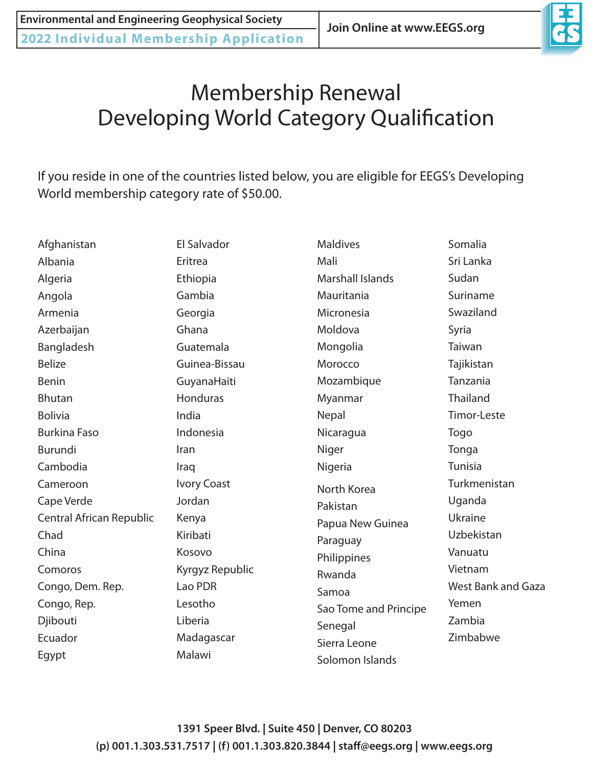

# Membership Renewal Developing World Category Qualification

If you reside in one of the countries listed below, you are eligible for EEGS's Developing World membership category rate of \$50.00.

| Afghanistan              | El Salvador        | <b>Maldives</b>         | Somalia                   |
|--------------------------|--------------------|-------------------------|---------------------------|
| Albania                  | Eritrea            | Mali                    | Sri Lanka                 |
| Algeria                  | Ethiopia           | <b>Marshall Islands</b> | Sudan                     |
| Angola                   | Gambia             | Mauritania              | Suriname                  |
| Armenia                  | Georgia            | Micronesia              | Swaziland                 |
| Azerbaijan               | Ghana              | Moldova                 | Syria                     |
| Bangladesh               | Guatemala          | Mongolia                | Taiwan                    |
| <b>Belize</b>            | Guinea-Bissau      | Morocco                 | Tajikistan                |
| <b>Benin</b>             | GuyanaHaiti        | Mozambique              | Tanzania                  |
| <b>Bhutan</b>            | Honduras           | Myanmar                 | Thailand                  |
| <b>Bolivia</b>           | India              | Nepal                   | Timor-Leste               |
| <b>Burkina Faso</b>      | Indonesia          | Nicaragua               | Togo                      |
| Burundi                  | Iran               | Niger                   | Tonga                     |
| Cambodia                 | Iraq               | Nigeria                 | <b>Tunisia</b>            |
| Cameroon                 | <b>Ivory Coast</b> | North Korea             | Turkmenistan              |
| Cape Verde               | Jordan             | Pakistan                | Uganda                    |
| Central African Republic | Kenya              | Papua New Guinea        | Ukraine                   |
| Chad                     | Kiribati           | Paraguay                | Uzbekistan                |
| China                    | Kosovo             | Philippines             | Vanuatu                   |
| Comoros                  | Kyrgyz Republic    | Rwanda                  | Vietnam                   |
| Congo, Dem. Rep.         | Lao PDR            | Samoa                   | <b>West Bank and Gaza</b> |
| Congo, Rep.              | Lesotho            | Sao Tome and Principe   | Yemen                     |
| Djibouti                 | Liberia            | Senegal                 | Zambia                    |
| Ecuador                  | Madagascar         | Sierra Leone            | Zimbabwe                  |
| Egypt                    | Malawi             | Solomon Islands         |                           |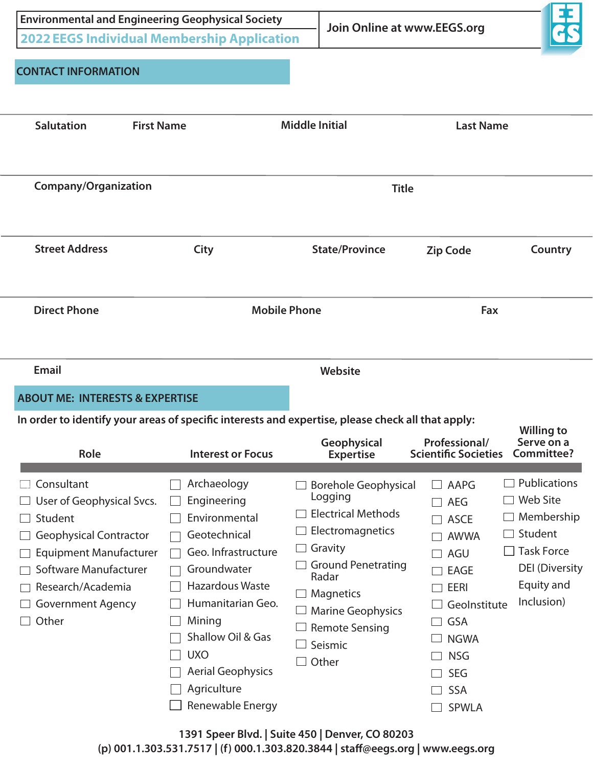| <b>Environmental and Engineering Geophysical Society</b><br><b>2022 EEGS Individual Membership Application</b><br><b>CONTACT INFORMATION</b>                                                            |                                                                                                                                                                                                                                                              |                                                                                                                                                                                                                                                                         | Join Online at www.EEGS.org                                                                                                                                                                                                                                   |                                                                                                                                    |
|---------------------------------------------------------------------------------------------------------------------------------------------------------------------------------------------------------|--------------------------------------------------------------------------------------------------------------------------------------------------------------------------------------------------------------------------------------------------------------|-------------------------------------------------------------------------------------------------------------------------------------------------------------------------------------------------------------------------------------------------------------------------|---------------------------------------------------------------------------------------------------------------------------------------------------------------------------------------------------------------------------------------------------------------|------------------------------------------------------------------------------------------------------------------------------------|
| <b>Salutation</b><br><b>First Name</b>                                                                                                                                                                  |                                                                                                                                                                                                                                                              | <b>Middle Initial</b>                                                                                                                                                                                                                                                   | <b>Last Name</b>                                                                                                                                                                                                                                              |                                                                                                                                    |
| <b>Company/Organization</b>                                                                                                                                                                             |                                                                                                                                                                                                                                                              | <b>Title</b>                                                                                                                                                                                                                                                            |                                                                                                                                                                                                                                                               |                                                                                                                                    |
| <b>Street Address</b>                                                                                                                                                                                   | City                                                                                                                                                                                                                                                         | <b>State/Province</b>                                                                                                                                                                                                                                                   | <b>Zip Code</b>                                                                                                                                                                                                                                               | Country                                                                                                                            |
| <b>Direct Phone</b>                                                                                                                                                                                     |                                                                                                                                                                                                                                                              | <b>Mobile Phone</b>                                                                                                                                                                                                                                                     | Fax                                                                                                                                                                                                                                                           |                                                                                                                                    |
| Email<br><b>ABOUT ME: INTERESTS &amp; EXPERTISE</b><br>In order to identify your areas of specific interests and expertise, please check all that apply:<br>Role                                        | <b>Interest or Focus</b>                                                                                                                                                                                                                                     | Website<br>Geophysical<br><b>Expertise</b>                                                                                                                                                                                                                              | Professional/<br><b>Scientific Societies</b>                                                                                                                                                                                                                  | <b>Willing to</b><br>Serve on a<br>Committee?                                                                                      |
| Consultant<br>User of Geophysical Svcs.<br>Student<br><b>Geophysical Contractor</b><br><b>Equipment Manufacturer</b><br>Software Manufacturer<br>Research/Academia<br><b>Government Agency</b><br>Other | Archaeology<br>Engineering<br>Environmental<br>Geotechnical<br>Geo. Infrastructure<br>Groundwater<br><b>Hazardous Waste</b><br>Humanitarian Geo.<br>Mining<br>Shallow Oil & Gas<br><b>UXO</b><br><b>Aerial Geophysics</b><br>Agriculture<br>Renewable Energy | <b>Borehole Geophysical</b><br>Logging<br><b>Electrical Methods</b><br>Electromagnetics<br>Gravity<br><b>Ground Penetrating</b><br>Radar<br>Magnetics<br><b>Marine Geophysics</b><br><b>Remote Sensing</b><br>Seismic<br>Other<br>$\sim$ Plud Cuite 450 Berger CO 00303 | AAPG<br>$\sim$<br>$\Box$<br><b>AEG</b><br><b>ASCE</b><br>$\mathcal{L}$<br>$\mathbb{R}^n$<br><b>AWWA</b><br>AGU<br>$\sim$<br><b>EAGE</b><br><b>EERI</b><br>Geolnstitute<br><b>GSA</b><br><b>NGWA</b><br><b>NSG</b><br><b>SEG</b><br><b>SSA</b><br><b>SPWLA</b> | Publications<br><b>Web Site</b><br>Membership<br>Student<br>$\Box$ Task Force<br><b>DEI</b> (Diversity<br>Equity and<br>Inclusion) |

**1391 Speer Blvd. | Suite 450 | Denver, CO 80203 (p) 001.1.303.531.7517 | (f) 000.1.303.820.3844 | staff@eegs.org | www.eegs.org**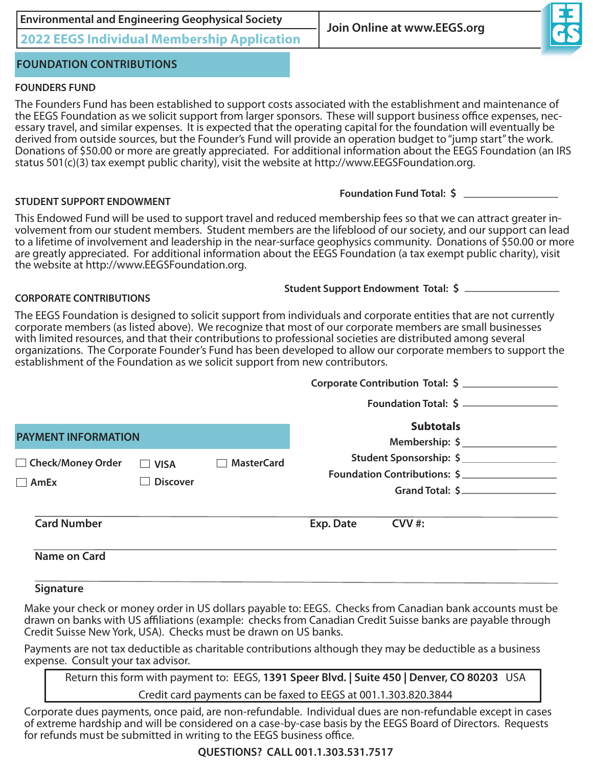| <b>Environmental and Engineering Geophysical Society</b>                                                                                                                                                                                                                                                                                                                                                                                                                                                                                                                           | Join Online at www.EEGS.org                                                                                        |
|------------------------------------------------------------------------------------------------------------------------------------------------------------------------------------------------------------------------------------------------------------------------------------------------------------------------------------------------------------------------------------------------------------------------------------------------------------------------------------------------------------------------------------------------------------------------------------|--------------------------------------------------------------------------------------------------------------------|
| <b>2022 EEGS Individual Membership Application</b>                                                                                                                                                                                                                                                                                                                                                                                                                                                                                                                                 |                                                                                                                    |
| <b>FOUNDATION CONTRIBUTIONS</b>                                                                                                                                                                                                                                                                                                                                                                                                                                                                                                                                                    |                                                                                                                    |
| <b>FOUNDERS FUND</b>                                                                                                                                                                                                                                                                                                                                                                                                                                                                                                                                                               |                                                                                                                    |
| The Founders Fund has been established to support costs associated with the establishment and maintenance of<br>the EEGS Foundation as we solicit support from larger sponsors. These will support business office expenses, nec-<br>essary travel, and similar expenses. It is expected that the operating capital for the foundation will eventually be<br>derived from outside sources, but the Founder's Fund will provide an operation budget to "jump start" the work.<br>status $501(c)(3)$ tax exempt public charity), visit the website at http://www.EEGSFoundation.org. | Donations of \$50.00 or more are greatly appreciated. For additional information about the EEGS Foundation (an IRS |
| <b>STUDENT SUPPORT ENDOWMENT</b>                                                                                                                                                                                                                                                                                                                                                                                                                                                                                                                                                   | Foundation Fund Total: \$                                                                                          |
| This Endowed Fund will be used to support travel and reduced membership fees so that we can attract greater in-<br>volvement from our student members. Student members are the lifeblood of our society, and our support can lead<br>are greatly appreciated. For additional information about the EEGS Foundation (a tax exempt public charity), visit<br>the website at http://www.EEGSFoundation.org.                                                                                                                                                                           | to a lifetime of involvement and leadership in the near-surface geophysics community. Donations of \$50.00 or more |
| <b>CORPORATE CONTRIBUTIONS</b>                                                                                                                                                                                                                                                                                                                                                                                                                                                                                                                                                     | Student Support Endowment Total: \$                                                                                |
| The EEGS Foundation is designed to solicit support from individuals and corporate entities that are not currently<br>corporate members (as listed above). We recognize that most of our corporate members are small businesses                                                                                                                                                                                                                                                                                                                                                     |                                                                                                                    |

with limited resources, and that their contributions to professional societies are distributed among several organizations. The Corporate Founder's Fund has been developed to allow our corporate members to support the establishment of the Foundation as we solicit support from new contributors.

|                                        |                                |                                    |           | Corporate Contribution Total: \$                                           |
|----------------------------------------|--------------------------------|------------------------------------|-----------|----------------------------------------------------------------------------|
|                                        |                                |                                    |           | Foundation Total: \$                                                       |
| <b>PAYMENT INFORMATION</b>             |                                | <b>Subtotals</b><br>Membership: \$ |           |                                                                            |
| □ Check/Money Order<br>$\mathsf{AmEx}$ | <b>VISA</b><br><b>Discover</b> | <b>MasterCard</b>                  |           | Student Sponsorship: \$<br>Foundation Contributions: \$<br>Grand Total: \$ |
| <b>Card Number</b>                     |                                |                                    | Exp. Date | $CVV$ #:                                                                   |
| <b>Name on Card</b>                    |                                |                                    |           |                                                                            |

**LSignature**

Make your check or money order in US dollars payable to: EEGS. Checks from Canadian bank accounts must be drawn on banks with US affiliations (example: checks from Canadian Credit Suisse banks are payable through Credit Suisse New York, USA). Checks must be drawn on US banks.

Payments are not tax deductible as charitable contributions although they may be deductible as a business expense. Consult your tax advisor.

Return this form with payment to: EEGS, **1391 Speer Blvd. | Suite 450 | Denver, CO 80203** USA Credit card payments can be faxed to EEGS at 001.1.303.820.3844

Corporate dues payments, once paid, are non-refundable. Individual dues are non-refundable except in cases of extreme hardship and will be considered on a case-by-case basis by the EEGS Board of Directors. Requests for refunds must be submitted in writing to the EEGS business office.

### **QUESTIONS? CALL 001.1.303.531.7517**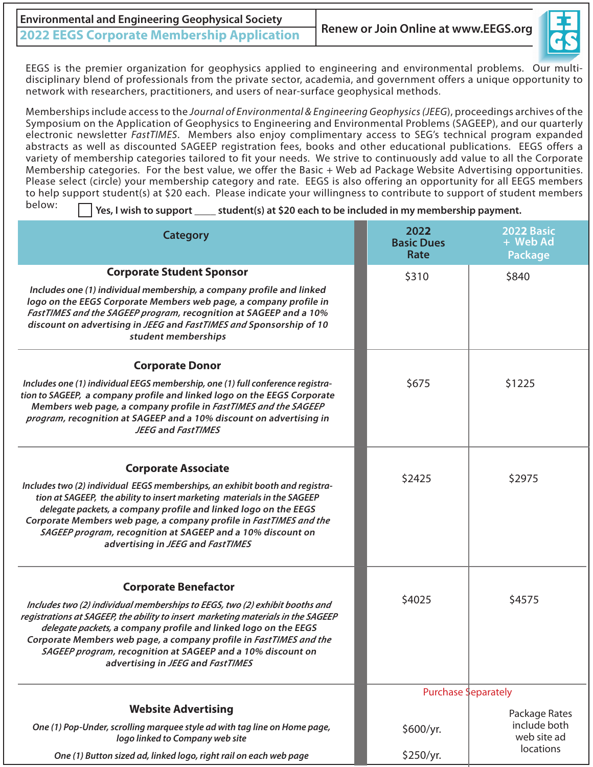| <b>Environmental and Engineering Geophysical Society</b> |                                      |  |  |
|----------------------------------------------------------|--------------------------------------|--|--|
| <b>2022 EEGS Corporate Membership Application</b>        | Renew or Join Online at www.EEGS.org |  |  |



EEGS is the premier organization for geophysics applied to engineering and environmental problems. Our multidisciplinary blend of professionals from the private sector, academia, and government offers a unique opportunity to network with researchers, practitioners, and users of near-surface geophysical methods.

Memberships include access to the *Journal of Environmental & Engineering Geophysics (JEEG*), proceedings archives of the Symposium on the Application of Geophysics to Engineering and Environmental Problems (SAGEEP), and our quarterly electronic newsletter *FastTIMES*. Members also enjoy complimentary access to SEG's technical program expanded abstracts as well as discounted SAGEEP registration fees, books and other educational publications. EEGS offers a variety of membership categories tailored to fit your needs. We strive to continuously add value to all the Corporate Membership categories. For the best value, we offer the Basic + Web ad Package Website Advertising opportunities. Please select (circle) your membership category and rate. EEGS is also offering an opportunity for all EEGS members to help support student(s) at \$20 each. Please indicate your willingness to contribute to support of student members below:

**Yes, I wish to support \_\_\_\_ student(s) at \$20 each to be included in my membership payment.** 

| <b>Category</b>                                                                                                                                                                                                                                                                                                                                                                                                                             | 2022<br><b>Basic Dues</b><br>Rate | 2022 Basic<br>+ Web Ad<br><b>Package</b> |
|---------------------------------------------------------------------------------------------------------------------------------------------------------------------------------------------------------------------------------------------------------------------------------------------------------------------------------------------------------------------------------------------------------------------------------------------|-----------------------------------|------------------------------------------|
| <b>Corporate Student Sponsor</b>                                                                                                                                                                                                                                                                                                                                                                                                            | \$310                             | \$840                                    |
| Includes one (1) individual membership, a company profile and linked<br>logo on the EEGS Corporate Members web page, a company profile in<br>FastTIMES and the SAGEEP program, recognition at SAGEEP and a 10%<br>discount on advertising in JEEG and FastTIMES and Sponsorship of 10<br>student memberships                                                                                                                                |                                   |                                          |
| <b>Corporate Donor</b>                                                                                                                                                                                                                                                                                                                                                                                                                      |                                   |                                          |
| Includes one (1) individual EEGS membership, one (1) full conference registra-<br>tion to SAGEEP, a company profile and linked logo on the EEGS Corporate<br>Members web page, a company profile in FastTIMES and the SAGEEP<br>program, recognition at SAGEEP and a 10% discount on advertising in<br><b>JEEG and FastTIMES</b>                                                                                                            | \$675                             | \$1225                                   |
| <b>Corporate Associate</b><br>Includes two (2) individual EEGS memberships, an exhibit booth and registra-<br>tion at SAGEEP, the ability to insert marketing materials in the SAGEEP<br>delegate packets, a company profile and linked logo on the EEGS<br>Corporate Members web page, a company profile in FastTIMES and the<br>SAGEEP program, recognition at SAGEEP and a 10% discount on<br>advertising in JEEG and FastTIMES          | \$2425                            | \$2975                                   |
| <b>Corporate Benefactor</b><br>Includes two (2) individual memberships to EEGS, two (2) exhibit booths and<br>registrations at SAGEEP, the ability to insert marketing materials in the SAGEEP<br>delegate packets, a company profile and linked logo on the EEGS<br>Corporate Members web page, a company profile in FastTIMES and the<br>SAGEEP program, recognition at SAGEEP and a 10% discount on<br>advertising in JEEG and FastTIMES | \$4025                            | \$4575                                   |
|                                                                                                                                                                                                                                                                                                                                                                                                                                             | Purchase Separately               |                                          |
| <b>Website Advertising</b>                                                                                                                                                                                                                                                                                                                                                                                                                  |                                   | Package Rates                            |
| One (1) Pop-Under, scrolling marquee style ad with tag line on Home page,<br>logo linked to Company web site                                                                                                                                                                                                                                                                                                                                | \$600/yr.                         | include both<br>web site ad<br>locations |
| One (1) Button sized ad, linked logo, right rail on each web page                                                                                                                                                                                                                                                                                                                                                                           | \$250/yr.                         |                                          |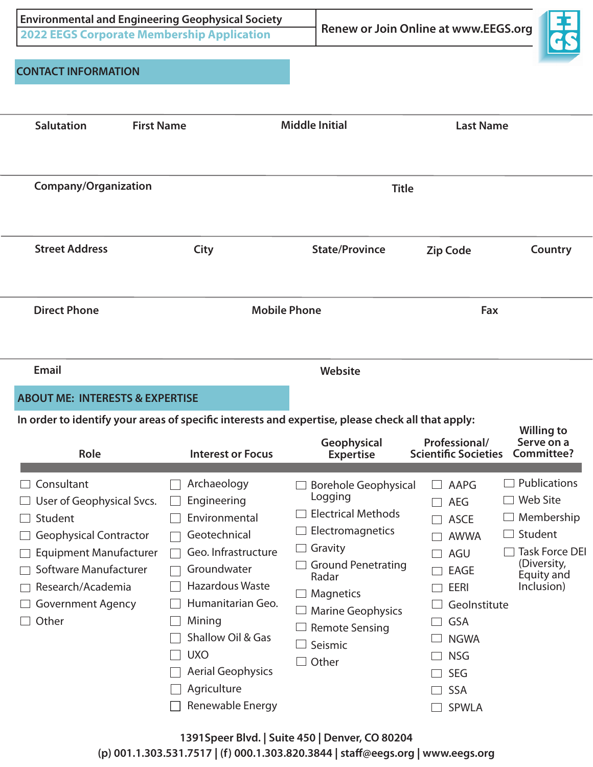| <b>CONTACT INFORMATION</b>                                                                                                                                                                              | <b>Environmental and Engineering Geophysical Society</b><br><b>2022 EEGS Corporate Membership Application</b>                                                                                                                                         |                                                                                                                                                                                                                                | <b>Renew or Join Online at www.EEGS.org</b>                                                                                                                                                                          |                                                                                                                              |
|---------------------------------------------------------------------------------------------------------------------------------------------------------------------------------------------------------|-------------------------------------------------------------------------------------------------------------------------------------------------------------------------------------------------------------------------------------------------------|--------------------------------------------------------------------------------------------------------------------------------------------------------------------------------------------------------------------------------|----------------------------------------------------------------------------------------------------------------------------------------------------------------------------------------------------------------------|------------------------------------------------------------------------------------------------------------------------------|
| <b>Salutation</b>                                                                                                                                                                                       | <b>First Name</b>                                                                                                                                                                                                                                     | <b>Middle Initial</b>                                                                                                                                                                                                          | <b>Last Name</b>                                                                                                                                                                                                     |                                                                                                                              |
| <b>Company/Organization</b>                                                                                                                                                                             |                                                                                                                                                                                                                                                       |                                                                                                                                                                                                                                | <b>Title</b>                                                                                                                                                                                                         |                                                                                                                              |
| <b>Street Address</b>                                                                                                                                                                                   | City                                                                                                                                                                                                                                                  | <b>State/Province</b>                                                                                                                                                                                                          | <b>Zip Code</b>                                                                                                                                                                                                      | Country                                                                                                                      |
| <b>Direct Phone</b>                                                                                                                                                                                     |                                                                                                                                                                                                                                                       | <b>Mobile Phone</b>                                                                                                                                                                                                            | Fax                                                                                                                                                                                                                  |                                                                                                                              |
| <b>Email</b><br><b>ABOUT ME: INTERESTS &amp; EXPERTISE</b>                                                                                                                                              |                                                                                                                                                                                                                                                       | Website<br>In order to identify your areas of specific interests and expertise, please check all that apply:                                                                                                                   |                                                                                                                                                                                                                      | <b>Willing to</b>                                                                                                            |
| Role                                                                                                                                                                                                    | <b>Interest or Focus</b>                                                                                                                                                                                                                              | Geophysical<br><b>Expertise</b>                                                                                                                                                                                                | Professional/<br><b>Scientific Societies</b>                                                                                                                                                                         | Serve on a<br>Committee?                                                                                                     |
| Consultant<br>User of Geophysical Svcs.<br>Student<br><b>Geophysical Contractor</b><br><b>Equipment Manufacturer</b><br>Software Manufacturer<br>Research/Academia<br><b>Government Agency</b><br>Other | Archaeology<br>Engineering<br>Environmental<br>Geotechnical<br>Geo. Infrastructure<br>Groundwater<br>Hazardous Waste<br>Humanitarian Geo.<br>Mining<br>Shallow Oil & Gas<br><b>UXO</b><br><b>Aerial Geophysics</b><br>Agriculture<br>Renewable Energy | <b>Borehole Geophysical</b><br>Logging<br><b>Electrical Methods</b><br>Electromagnetics<br>Gravity<br><b>Ground Penetrating</b><br>Radar<br>Magnetics<br><b>Marine Geophysics</b><br><b>Remote Sensing</b><br>Seismic<br>Other | AAPG<br><b>AEG</b><br><b>ASCE</b><br>$\Box$<br><b>AWWA</b><br>AGU<br><b>EAGE</b><br>$\overline{\phantom{0}}$<br><b>EERI</b><br>Geolnstitute<br>GSA<br><b>NGWA</b><br><b>NSG</b><br>SEG<br><b>SSA</b><br><b>SPWLA</b> | Publications<br><b>Web Site</b><br>Membership<br>Student<br><b>Task Force DEI</b><br>(Diversity,<br>Equity and<br>Inclusion) |

**1391Speer Blvd. | Suite 450 | Denver, CO 80204 (p) 001.1.303.531.7517 | (f) 000.1.303.820.3844 | staff@eegs.org | www.eegs.org**